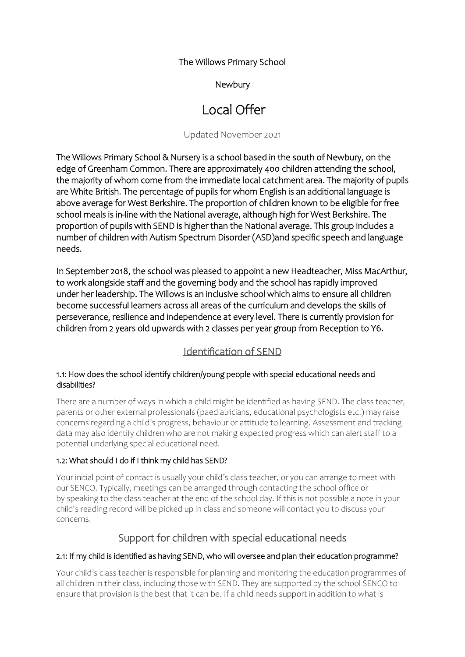The Willows Primary School

## Newbury

# Local Offer

Updated November 2021

The Willows Primary School & Nursery is a school based in the south of Newbury, on the edge of Greenham Common. There are approximately 400 children attending the school, the majority of whom come from the immediate local catchment area. The majority of pupils are White British. The percentage of pupils for whom English is an additional language is above average for West Berkshire. The proportion of children known to be eligible for free school meals is in-line with the National average, although high for West Berkshire. The proportion of pupils with SEND is higher than the National average. This group includes a number of children with Autism Spectrum Disorder (ASD)and specific speech and language needs.

In September 2018, the school was pleased to appoint a new Headteacher, Miss MacArthur, to work alongside staff and the governing body and the school has rapidly improved under her leadership. The Willows is an inclusive school which aims to ensure all children become successful learners across all areas of the curriculum and develops the skills of perseverance, resilience and independence at every level. There is currently provision for children from 2 years old upwards with 2 classes per year group from Reception to Y6.

## Identification of SEND

## 1.1: How does the school identify children/young people with special educational needs and disabilities?

There are a number of ways in which a child might be identified as having SEND. The class teacher, parents or other external professionals (paediatricians, educational psychologists etc.) may raise concerns regarding a child's progress, behaviour or attitude to learning. Assessment and tracking data may also identify children who are not making expected progress which can alert staff to a potential underlying special educational need.

## 1.2: What should I do if I think my child has SEND?

Your initial point of contact is usually your child's class teacher, or you can arrange to meet with our SENCO. Typically, meetings can be arranged through contacting the school office or by speaking to the class teacher at the end of the school day. If this is not possible a note in your child's reading record will be picked up in class and someone will contact you to discuss your concerns.

## Support for children with special educational needs

## 2.1: If my child is identified as having SEND, who will oversee and plan their education programme?

Your child's class teacher is responsible for planning and monitoring the education programmes of all children in their class, including those with SEND. They are supported by the school SENCO to ensure that provision is the best that it can be. If a child needs support in addition to what is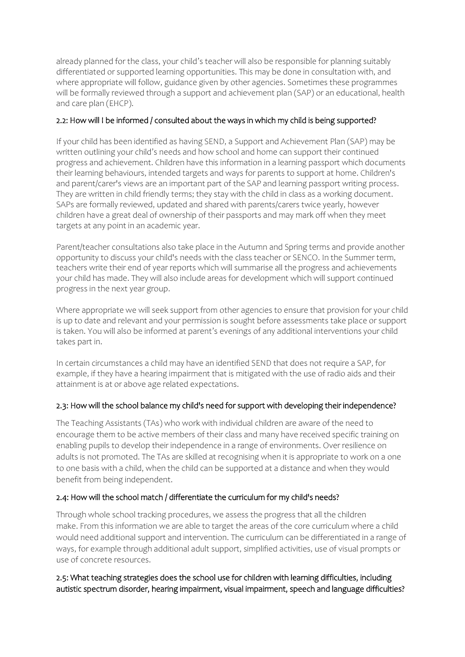already planned for the class, your child's teacher will also be responsible for planning suitably differentiated or supported learning opportunities. This may be done in consultation with, and where appropriate will follow, guidance given by other agencies. Sometimes these programmes will be formally reviewed through a support and achievement plan (SAP) or an educational, health and care plan (EHCP).

## 2.2: How will I be informed / consulted about the ways in which my child is being supported?

If your child has been identified as having SEND, a Support and Achievement Plan (SAP) may be written outlining your child's needs and how school and home can support their continued progress and achievement. Children have this information in a learning passport which documents their learning behaviours, intended targets and ways for parents to support at home. Children's and parent/carer's views are an important part of the SAP and learning passport writing process. They are written in child friendly terms; they stay with the child in class as a working document. SAPs are formally reviewed, updated and shared with parents/carers twice yearly, however children have a great deal of ownership of their passports and may mark off when they meet targets at any point in an academic year.

Parent/teacher consultations also take place in the Autumn and Spring terms and provide another opportunity to discuss your child's needs with the class teacher or SENCO. In the Summer term, teachers write their end of year reports which will summarise all the progress and achievements your child has made. They will also include areas for development which will support continued progress in the next year group.

Where appropriate we will seek support from other agencies to ensure that provision for your child is up to date and relevant and your permission is sought before assessments take place or support is taken. You will also be informed at parent's evenings of any additional interventions your child takes part in.

In certain circumstances a child may have an identified SEND that does not require a SAP, for example, if they have a hearing impairment that is mitigated with the use of radio aids and their attainment is at or above age related expectations.

## 2.3: How will the school balance my child's need for support with developing their independence?

The Teaching Assistants (TAs) who work with individual children are aware of the need to encourage them to be active members of their class and many have received specific training on enabling pupils to develop their independence in a range of environments. Over resilience on adults is not promoted. The TAs are skilled at recognising when it is appropriate to work on a one to one basis with a child, when the child can be supported at a distance and when they would benefit from being independent.

## 2.4: How will the school match / differentiate the curriculum for my child's needs?

Through whole school tracking procedures, we assess the progress that all the children make. From this information we are able to target the areas of the core curriculum where a child would need additional support and intervention. The curriculum can be differentiated in a range of ways, for example through additional adult support, simplified activities, use of visual prompts or use of concrete resources.

## 2.5: What teaching strategies does the school use for children with learning difficulties, including autistic spectrum disorder, hearing impairment, visual impairment, speech and language difficulties?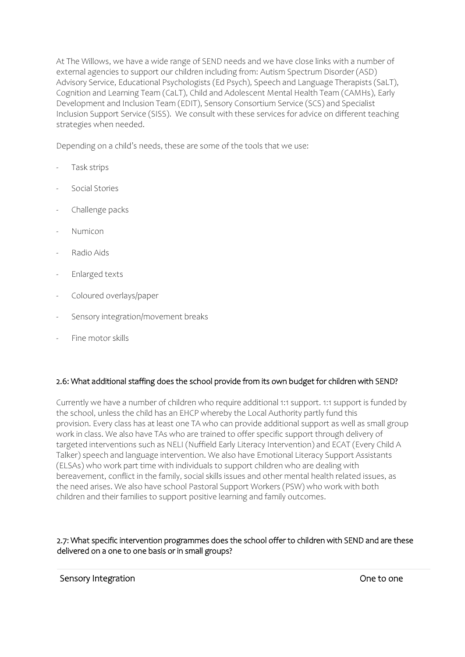At The Willows, we have a wide range of SEND needs and we have close links with a number of external agencies to support our children including from: Autism Spectrum Disorder (ASD) Advisory Service, Educational Psychologists (Ed Psych), Speech and Language Therapists (SaLT), Cognition and Learning Team (CaLT), Child and Adolescent Mental Health Team (CAMHs), Early Development and Inclusion Team (EDIT), Sensory Consortium Service (SCS) and Specialist Inclusion Support Service (SISS). We consult with these services for advice on different teaching strategies when needed.

Depending on a child's needs, these are some of the tools that we use:

- Task strips
- Social Stories
- Challenge packs
- Numicon
- Radio Aids
- Enlarged texts
- Coloured overlays/paper
- Sensory integration/movement breaks
- Fine motor skills

#### 2.6: What additional staffing does the school provide from its own budget for children with SEND?

Currently we have a number of children who require additional 1:1 support. 1:1 support is funded by the school, unless the child has an EHCP whereby the Local Authority partly fund this provision. Every class has at least one TA who can provide additional support as well as small group work in class. We also have TAs who are trained to offer specific support through delivery of targeted interventions such as NELI (Nuffield Early Literacy Intervention) and ECAT (Every Child A Talker) speech and language intervention. We also have Emotional Literacy Support Assistants (ELSAs) who work part time with individuals to support children who are dealing with bereavement, conflict in the family, social skills issues and other mental health related issues, as the need arises. We also have school Pastoral Support Workers (PSW) who work with both children and their families to support positive learning and family outcomes.

#### 2.7: What specific intervention programmes does the school offer to children with SEND and are these delivered on a one to one basis or in small groups?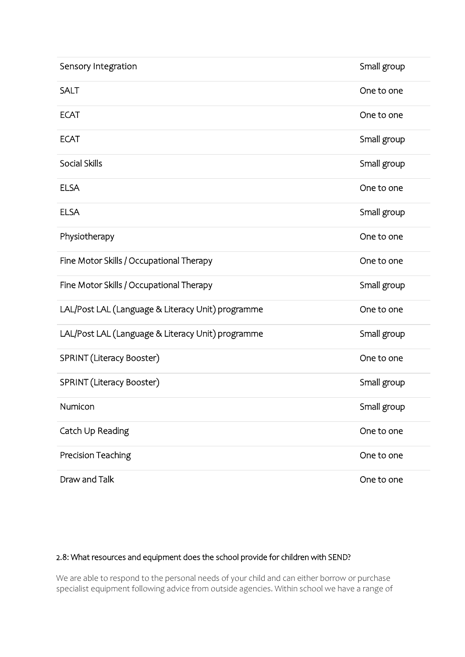| Sensory Integration                               | Small group |
|---------------------------------------------------|-------------|
|                                                   |             |
| <b>SALT</b>                                       | One to one  |
| <b>ECAT</b>                                       | One to one  |
| <b>ECAT</b>                                       | Small group |
| Social Skills                                     | Small group |
| <b>ELSA</b>                                       | One to one  |
| <b>ELSA</b>                                       | Small group |
| Physiotherapy                                     | One to one  |
| Fine Motor Skills / Occupational Therapy          | One to one  |
| Fine Motor Skills / Occupational Therapy          | Small group |
| LAL/Post LAL (Language & Literacy Unit) programme | One to one  |
| LAL/Post LAL (Language & Literacy Unit) programme | Small group |
| SPRINT (Literacy Booster)                         | One to one  |
| SPRINT (Literacy Booster)                         | Small group |
| Numicon                                           | Small group |
| Catch Up Reading                                  | One to one  |
| Precision Teaching                                | One to one  |
| Draw and Talk                                     | One to one  |

## 2.8: What resources and equipment does the school provide for children with SEND?

We are able to respond to the personal needs of your child and can either borrow or purchase specialist equipment following advice from outside agencies. Within school we have a range of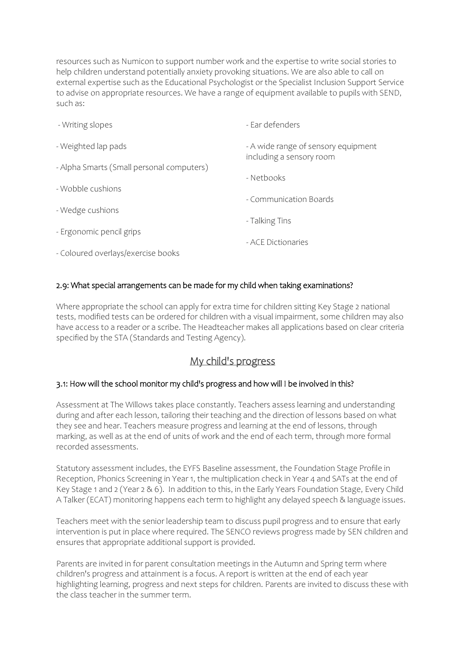resources such as Numicon to support number work and the expertise to write social stories to help children understand potentially anxiety provoking situations. We are also able to call on external expertise such as the Educational Psychologist or the Specialist Inclusion Support Service to advise on appropriate resources. We have a range of equipment available to pupils with SEND, such as:

| - Writing slopes                          | - Ear defenders                                                 |
|-------------------------------------------|-----------------------------------------------------------------|
| - Weighted lap pads                       | - A wide range of sensory equipment<br>including a sensory room |
| - Alpha Smarts (Small personal computers) |                                                                 |
|                                           | - Nethooks                                                      |
| - Wobble cushions                         | - Communication Boards                                          |
| - Wedge cushions                          |                                                                 |
| - Ergonomic pencil grips                  | - Talking Tins                                                  |
|                                           | - ACE Dictionaries                                              |
| - Coloured overlays/exercise books        |                                                                 |

## 2.9: What special arrangements can be made for my child when taking examinations?

Where appropriate the school can apply for extra time for children sitting Key Stage 2 national tests, modified tests can be ordered for children with a visual impairment, some children may also have access to a reader or a scribe. The Headteacher makes all applications based on clear criteria specified by the STA (Standards and Testing Agency).

## My child's progress

#### 3.1: How will the school monitor my child's progress and how will I be involved in this?

Assessment at The Willows takes place constantly. Teachers assess learning and understanding during and after each lesson, tailoring their teaching and the direction of lessons based on what they see and hear. Teachers measure progress and learning at the end of lessons, through marking, as well as at the end of units of work and the end of each term, through more formal recorded assessments.

Statutory assessment includes, the EYFS Baseline assessment, the Foundation Stage Profile in Reception, Phonics Screening in Year 1, the multiplication check in Year 4 and SATs at the end of Key Stage 1 and 2 (Year 2 & 6). In addition to this, in the Early Years Foundation Stage, Every Child A Talker (ECAT) monitoring happens each term to highlight any delayed speech & language issues.

Teachers meet with the senior leadership team to discuss pupil progress and to ensure that early intervention is put in place where required. The SENCO reviews progress made by SEN children and ensures that appropriate additional support is provided.

Parents are invited in for parent consultation meetings in the Autumn and Spring term where children's progress and attainment is a focus. A report is written at the end of each year highlighting learning, progress and next steps for children. Parents are invited to discuss these with the class teacher in the summer term.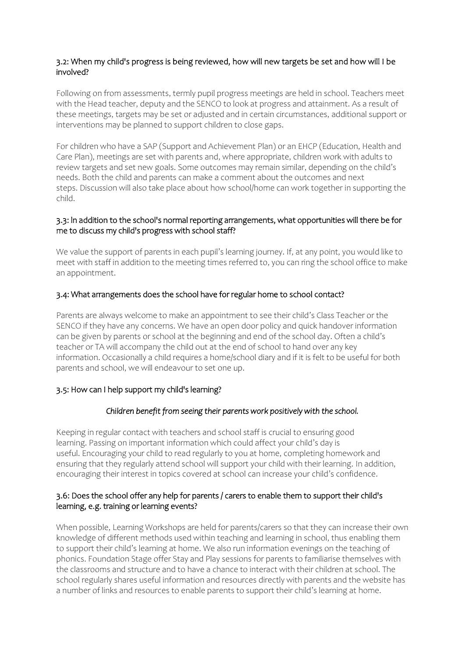#### 3.2: When my child's progress is being reviewed, how will new targets be set and how will I be involved?

Following on from assessments, termly pupil progress meetings are held in school. Teachers meet with the Head teacher, deputy and the SENCO to look at progress and attainment. As a result of these meetings, targets may be set or adjusted and in certain circumstances, additional support or interventions may be planned to support children to close gaps.

For children who have a SAP (Support and Achievement Plan) or an EHCP (Education, Health and Care Plan), meetings are set with parents and, where appropriate, children work with adults to review targets and set new goals. Some outcomes may remain similar, depending on the child's needs. Both the child and parents can make a comment about the outcomes and next steps. Discussion will also take place about how school/home can work together in supporting the child.

#### 3.3: ln addition to the school's normal reporting arrangements, what opportunities will there be for me to discuss my child's progress with school staff?

We value the support of parents in each pupil's learning journey. If, at any point, you would like to meet with staff in addition to the meeting times referred to, you can ring the school office to make an appointment.

#### 3.4: What arrangements does the school have for regular home to school contact?

Parents are always welcome to make an appointment to see their child's Class Teacher or the SENCO if they have any concerns. We have an open door policy and quick handover information can be given by parents or school at the beginning and end of the school day. Often a child's teacher or TA will accompany the child out at the end of school to hand over any key information. Occasionally a child requires a home/school diary and if it is felt to be useful for both parents and school, we will endeavour to set one up.

## 3.5: How can I help support my child's learning?

## *Children benefit from seeing their parents work positively with the school.*

Keeping in regular contact with teachers and school staff is crucial to ensuring good learning. Passing on important information which could affect your child's day is useful. Encouraging your child to read regularly to you at home, completing homework and ensuring that they regularly attend school will support your child with their learning. In addition, encouraging their interest in topics covered at school can increase your child's confidence.

#### 3.6: Does the school offer any help for parents / carers to enable them to support their child's learning, e.g. training or learning events?

When possible, Learning Workshops are held for parents/carers so that they can increase their own knowledge of different methods used within teaching and learning in school, thus enabling them to support their child's learning at home. We also run information evenings on the teaching of phonics. Foundation Stage offer Stay and Play sessions for parents to familiarise themselves with the classrooms and structure and to have a chance to interact with their children at school. The school regularly shares useful information and resources directly with parents and the website has a number of links and resources to enable parents to support their child's learning at home.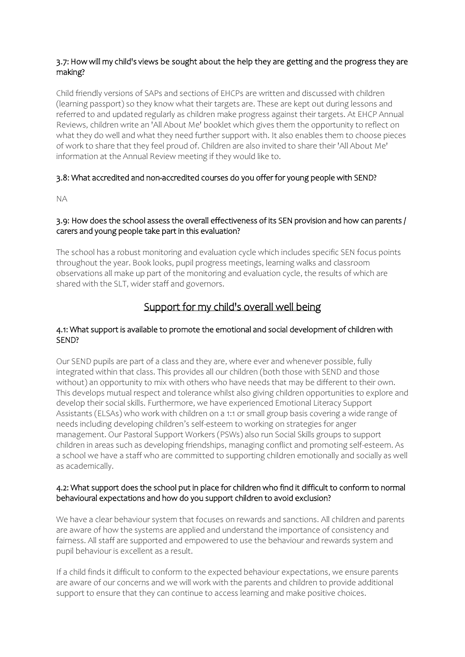## 3.7: How will my child's views be sought about the help they are getting and the progress they are making?

Child friendly versions of SAPs and sections of EHCPs are written and discussed with children (learning passport) so they know what their targets are. These are kept out during lessons and referred to and updated regularly as children make progress against their targets. At EHCP Annual Reviews, children write an 'All About Me' booklet which gives them the opportunity to reflect on what they do well and what they need further support with. It also enables them to choose pieces of work to share that they feel proud of. Children are also invited to share their 'All About Me' information at the Annual Review meeting if they would like to.

## 3.8: What accredited and non-accredited courses do you offer for young people with SEND?

NA

#### 3.9: How does the school assess the overall effectiveness of its SEN provision and how can parents / carers and young people take part in this evaluation?

The school has a robust monitoring and evaluation cycle which includes specific SEN focus points throughout the year. Book looks, pupil progress meetings, learning walks and classroom observations all make up part of the monitoring and evaluation cycle, the results of which are shared with the SLT, wider staff and governors.

## Support for my child's overall well being

#### 4.1: What support is available to promote the emotional and social development of children with SEND?

Our SEND pupils are part of a class and they are, where ever and whenever possible, fully integrated within that class. This provides all our children (both those with SEND and those without) an opportunity to mix with others who have needs that may be different to their own. This develops mutual respect and tolerance whilst also giving children opportunities to explore and develop their social skills. Furthermore, we have experienced Emotional Literacy Support Assistants (ELSAs) who work with children on a 1:1 or small group basis covering a wide range of needs including developing children's self-esteem to working on strategies for anger management. Our Pastoral Support Workers (PSWs) also run Social Skills groups to support children in areas such as developing friendships, managing conflict and promoting self-esteem. As a school we have a staff who are committed to supporting children emotionally and socially as well as academically.

## 4.2: What support does the school put in place for children who find it difficult to conform to normal behavioural expectations and how do you support children to avoid exclusion?

We have a clear behaviour system that focuses on rewards and sanctions. All children and parents are aware of how the systems are applied and understand the importance of consistency and fairness. All staff are supported and empowered to use the behaviour and rewards system and pupil behaviour is excellent as a result.

If a child finds it difficult to conform to the expected behaviour expectations, we ensure parents are aware of our concerns and we will work with the parents and children to provide additional support to ensure that they can continue to access learning and make positive choices.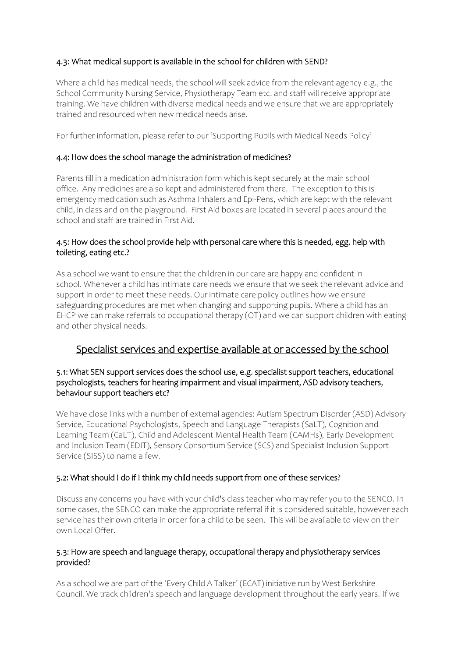## 4.3: What medical support is available in the school for children with SEND?

Where a child has medical needs, the school will seek advice from the relevant agency e.g., the School Community Nursing Service, Physiotherapy Team etc. and staff will receive appropriate training. We have children with diverse medical needs and we ensure that we are appropriately trained and resourced when new medical needs arise.

For further information, please refer to our 'Supporting Pupils with Medical Needs Policy'

#### 4.4: How does the school manage the administration of medicines?

Parents fill in a medication administration form which is kept securely at the main school office. Any medicines are also kept and administered from there. The exception to this is emergency medication such as Asthma Inhalers and Epi-Pens, which are kept with the relevant child, in class and on the playground. First Aid boxes are located in several places around the school and staff are trained in First Aid.

#### 4.5: How does the school provide help with personal care where this is needed, egg. help with toileting, eating etc.?

As a school we want to ensure that the children in our care are happy and confident in school. Whenever a child has intimate care needs we ensure that we seek the relevant advice and support in order to meet these needs. Our intimate care policy outlines how we ensure safeguarding procedures are met when changing and supporting pupils. Where a child has an EHCP we can make referrals to occupational therapy (OT) and we can support children with eating and other physical needs.

## Specialist services and expertise available at or accessed by the school

#### 5.1: What SEN support services does the school use, e.g. specialist support teachers, educational psychologists, teachers for hearing impairment and visual impairment, ASD advisory teachers, behaviour support teachers etc?

We have close links with a number of external agencies: Autism Spectrum Disorder (ASD) Advisory Service, Educational Psychologists, Speech and Language Therapists (SaLT), Cognition and Learning Team (CaLT), Child and Adolescent Mental Health Team (CAMHs), Early Development and Inclusion Team (EDIT), Sensory Consortium Service (SCS) and Specialist Inclusion Support Service (SISS) to name a few.

## 5.2: What should I do if I think my child needs support from one of these services?

Discuss any concerns you have with your child's class teacher who may refer you to the SENCO. In some cases, the SENCO can make the appropriate referral if it is considered suitable, however each service has their own criteria in order for a child to be seen. This will be available to view on their own Local Offer.

#### 5.3: How are speech and language therapy, occupational therapy and physiotherapy services provided?

As a school we are part of the 'Every Child A Talker' (ECAT) initiative run by West Berkshire Council. We track children's speech and language development throughout the early years. If we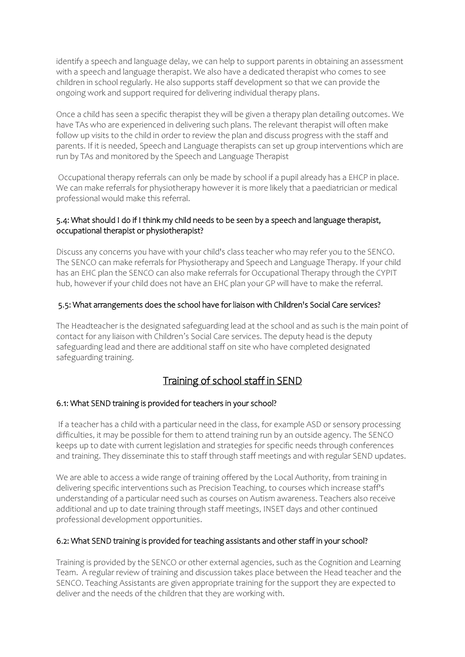identify a speech and language delay, we can help to support parents in obtaining an assessment with a speech and language therapist. We also have a dedicated therapist who comes to see children in school regularly. He also supports staff development so that we can provide the ongoing work and support required for delivering individual therapy plans.

Once a child has seen a specific therapist they will be given a therapy plan detailing outcomes. We have TAs who are experienced in delivering such plans. The relevant therapist will often make follow up visits to the child in order to review the plan and discuss progress with the staff and parents. If it is needed, Speech and Language therapists can set up group interventions which are run by TAs and monitored by the Speech and Language Therapist

Occupational therapy referrals can only be made by school if a pupil already has a EHCP in place. We can make referrals for physiotherapy however it is more likely that a paediatrician or medical professional would make this referral.

## 5.4: What should I do if I think my child needs to be seen by a speech and language therapist, occupational therapist or physiotherapist?

Discuss any concerns you have with your child's class teacher who may refer you to the SENCO. The SENCO can make referrals for Physiotherapy and Speech and Language Therapy. If your child has an EHC plan the SENCO can also make referrals for Occupational Therapy through the CYPIT hub, however if your child does not have an EHC plan your GP will have to make the referral.

#### 5.5: What arrangements does the school have for liaison with Children's Social Care services?

The Headteacher is the designated safeguarding lead at the school and as such is the main point of contact for any liaison with Children's Social Care services. The deputy head is the deputy safeguarding lead and there are additional staff on site who have completed designated safeguarding training.

## Training of school staff in SEND

## 6.1: What SEND training is provided for teachers in your school?

If a teacher has a child with a particular need in the class, for example ASD or sensory processing difficulties, it may be possible for them to attend training run by an outside agency. The SENCO keeps up to date with current legislation and strategies for specific needs through conferences and training. They disseminate this to staff through staff meetings and with regular SEND updates.

We are able to access a wide range of training offered by the Local Authority, from training in delivering specific interventions such as Precision Teaching, to courses which increase staff's understanding of a particular need such as courses on Autism awareness. Teachers also receive additional and up to date training through staff meetings, INSET days and other continued professional development opportunities.

#### 6.2: What SEND training is provided for teaching assistants and other staff in your school?

Training is provided by the SENCO or other external agencies, such as the Cognition and Learning Team. A regular review of training and discussion takes place between the Head teacher and the SENCO. Teaching Assistants are given appropriate training for the support they are expected to deliver and the needs of the children that they are working with.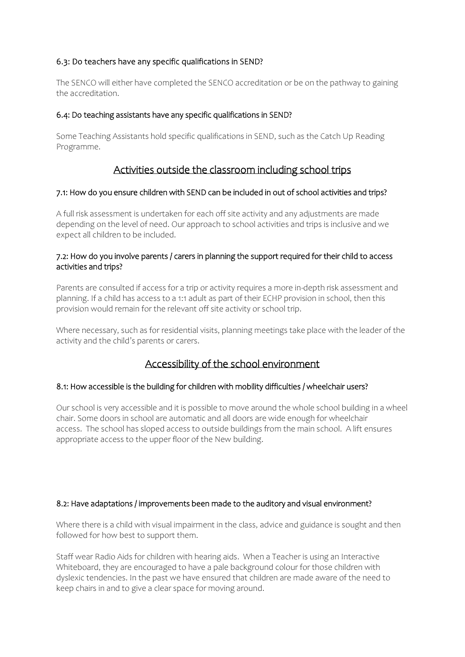## 6.3: Do teachers have any specific qualifications in SEND?

The SENCO will either have completed the SENCO accreditation or be on the pathway to gaining the accreditation.

#### 6.4: Do teaching assistants have any specific qualifications in SEND?

Some Teaching Assistants hold specific qualifications in SEND, such as the Catch Up Reading Programme.

## Activities outside the classroom including school trips

#### 7.1: How do you ensure children with SEND can be included in out of school activities and trips?

A full risk assessment is undertaken for each off site activity and any adjustments are made depending on the level of need. Our approach to school activities and trips is inclusive and we expect all children to be included.

#### 7.2: How do you involve parents / carers in planning the support required for their child to access activities and trips?

Parents are consulted if access for a trip or activity requires a more in-depth risk assessment and planning. If a child has access to a 1:1 adult as part of their ECHP provision in school, then this provision would remain for the relevant off site activity or school trip.

Where necessary, such as for residential visits, planning meetings take place with the leader of the activity and the child's parents or carers.

## Accessibility of the school environment

## 8.1: How accessible is the building for children with mobility difficulties / wheelchair users?

Our school is very accessible and it is possible to move around the whole school building in a wheel chair. Some doors in school are automatic and all doors are wide enough for wheelchair access. The school has sloped access to outside buildings from the main school. A lift ensures appropriate access to the upper floor of the New building.

## 8.2: Have adaptations / improvements been made to the auditory and visual environment?

Where there is a child with visual impairment in the class, advice and guidance is sought and then followed for how best to support them.

Staff wear Radio Aids for children with hearing aids. When a Teacher is using an Interactive Whiteboard, they are encouraged to have a pale background colour for those children with dyslexic tendencies. In the past we have ensured that children are made aware of the need to keep chairs in and to give a clear space for moving around.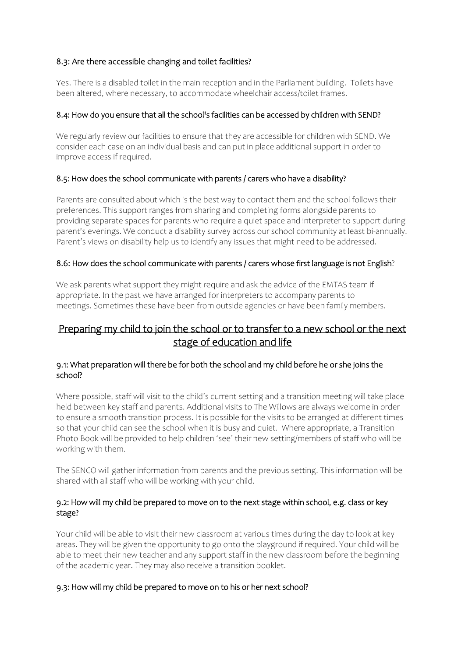## 8.3: Are there accessible changing and toilet facilities?

Yes. There is a disabled toilet in the main reception and in the Parliament building. Toilets have been altered, where necessary, to accommodate wheelchair access/toilet frames.

#### 8.4: How do you ensure that all the school's facilities can be accessed by children with SEND?

We regularly review our facilities to ensure that they are accessible for children with SEND. We consider each case on an individual basis and can put in place additional support in order to improve access if required.

#### 8.5: How does the school communicate with parents / carers who have a disability?

Parents are consulted about which is the best way to contact them and the school follows their preferences. This support ranges from sharing and completing forms alongside parents to providing separate spaces for parents who require a quiet space and interpreter to support during parent's evenings. We conduct a disability survey across our school community at least bi-annually. Parent's views on disability help us to identify any issues that might need to be addressed.

#### 8.6: How does the school communicate with parents / carers whose first language is not English?

We ask parents what support they might require and ask the advice of the EMTAS team if appropriate. In the past we have arranged for interpreters to accompany parents to meetings. Sometimes these have been from outside agencies or have been family members.

## Preparing my child to join the school or to transfer to a new school or the next stage of education and life

#### 9.1: What preparation will there be for both the school and my child before he or she joins the school?

Where possible, staff will visit to the child's current setting and a transition meeting will take place held between key staff and parents. Additional visits to The Willows are always welcome in order to ensure a smooth transition process. It is possible for the visits to be arranged at different times so that your child can see the school when it is busy and quiet. Where appropriate, a Transition Photo Book will be provided to help children 'see' their new setting/members of staff who will be working with them.

The SENCO will gather information from parents and the previous setting. This information will be shared with all staff who will be working with your child.

#### 9.2: How will my child be prepared to move on to the next stage within school, e.g. class or key stage?

Your child will be able to visit their new classroom at various times during the day to look at key areas. They will be given the opportunity to go onto the playground if required. Your child will be able to meet their new teacher and any support staff in the new classroom before the beginning of the academic year. They may also receive a transition booklet.

#### 9.3: How will my child be prepared to move on to his or her next school?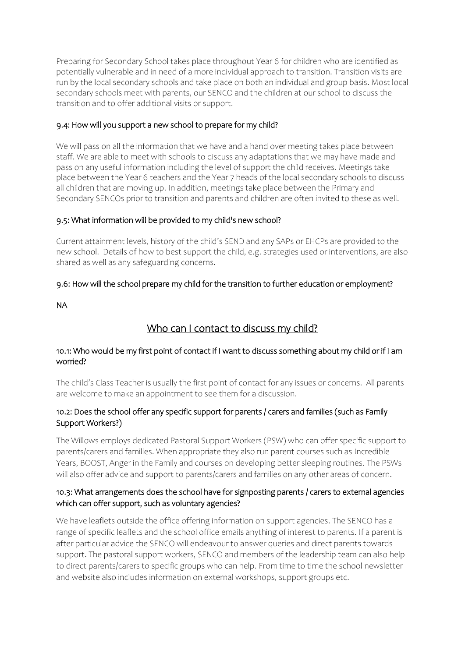Preparing for Secondary School takes place throughout Year 6 for children who are identified as potentially vulnerable and in need of a more individual approach to transition. Transition visits are run by the local secondary schools and take place on both an individual and group basis. Most local secondary schools meet with parents, our SENCO and the children at our school to discuss the transition and to offer additional visits or support.

## 9.4: How will you support a new school to prepare for my child?

We will pass on all the information that we have and a hand over meeting takes place between staff. We are able to meet with schools to discuss any adaptations that we may have made and pass on any useful information including the level of support the child receives. Meetings take place between the Year 6 teachers and the Year 7 heads of the local secondary schools to discuss all children that are moving up. In addition, meetings take place between the Primary and Secondary SENCOs prior to transition and parents and children are often invited to these as well.

## 9.5: What information will be provided to my child's new school?

Current attainment levels, history of the child's SEND and any SAPs or EHCPs are provided to the new school. Details of how to best support the child, e.g. strategies used or interventions, are also shared as well as any safeguarding concerns.

## 9.6: How will the school prepare my child for the transition to further education or employment?

NA

## Who can I contact to discuss my child?

## 10.1: Who would be my first point of contact if I want to discuss something about my child or if I am worried?

The child's Class Teacher is usually the first point of contact for any issues or concerns. All parents are welcome to make an appointment to see them for a discussion.

## 10.2: Does the school offer any specific support for parents / carers and families (such as Family Support Workers?)

The Willows employs dedicated Pastoral Support Workers (PSW) who can offer specific support to parents/carers and families. When appropriate they also run parent courses such as Incredible Years, BOOST, Anger in the Family and courses on developing better sleeping routines. The PSWs will also offer advice and support to parents/carers and families on any other areas of concern.

## 10.3: What arrangements does the school have for signposting parents / carers to external agencies which can offer support, such as voluntary agencies?

We have leaflets outside the office offering information on support agencies. The SENCO has a range of specific leaflets and the school office emails anything of interest to parents. If a parent is after particular advice the SENCO will endeavour to answer queries and direct parents towards support. The pastoral support workers, SENCO and members of the leadership team can also help to direct parents/carers to specific groups who can help. From time to time the school newsletter and website also includes information on external workshops, support groups etc.